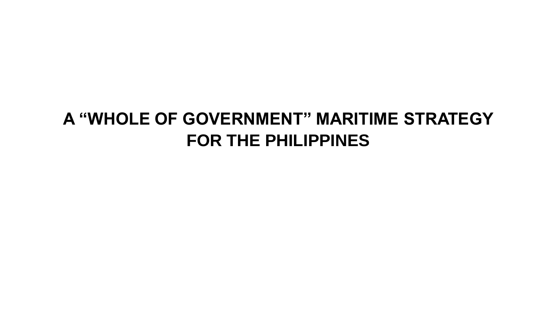## **A "WHOLE OF GOVERNMENT" MARITIME STRATEGY FOR THE PHILIPPINES**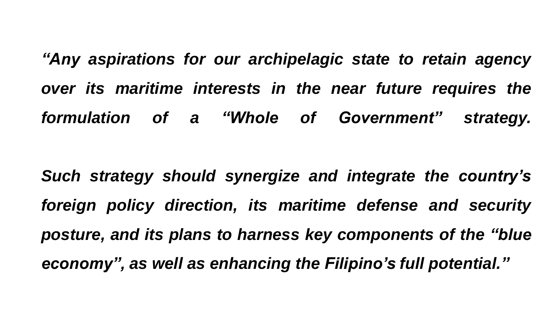*"Any aspirations for our archipelagic state to retain agency over its maritime interests in the near future requires the formulation of a "Whole of Government" strategy.*

*Such strategy should synergize and integrate the country's foreign policy direction, its maritime defense and security posture, and its plans to harness key components of the "blue economy", as well as enhancing the Filipino's full potential."*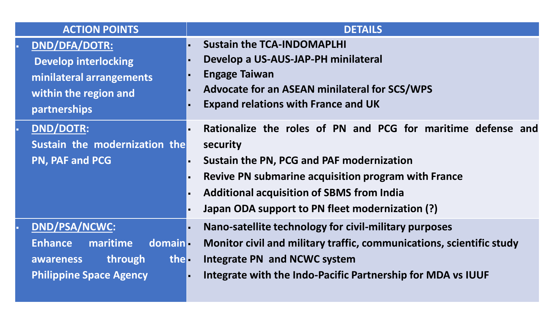| <b>ACTION POINTS</b>                                                                                                      | <b>DETAILS</b>                                                                                                                                                                                                                                                                                               |
|---------------------------------------------------------------------------------------------------------------------------|--------------------------------------------------------------------------------------------------------------------------------------------------------------------------------------------------------------------------------------------------------------------------------------------------------------|
| DND/DFA/DOTR:<br><b>Develop interlocking</b><br>minilateral arrangements<br>within the region and<br>partnerships         | <b>Sustain the TCA-INDOMAPLHI</b><br>Develop a US-AUS-JAP-PH minilateral<br><b>Engage Taiwan</b><br>Advocate for an ASEAN minilateral for SCS/WPS<br><b>Expand relations with France and UK</b>                                                                                                              |
| <b>DND/DOTR:</b><br>ä,<br>Sustain the modernization the<br>PN, PAF and PCG                                                | Rationalize the roles of PN and PCG for maritime defense and<br>security<br><b>Sustain the PN, PCG and PAF modernization</b><br>Revive PN submarine acquisition program with France<br><b>Additional acquisition of SBMS from India</b><br>Japan ODA support to PN fleet modernization (?)<br>$\blacksquare$ |
| DND/PSA/NCWC:<br>maritime<br>domain-<br><b>Enhance</b><br>through<br>the -<br>awareness<br><b>Philippine Space Agency</b> | Nano-satellite technology for civil-military purposes<br>l a<br>Monitor civil and military traffic, communications, scientific study<br>Integrate PN and NCWC system<br>Integrate with the Indo-Pacific Partnership for MDA vs IUUF<br>$\blacksquare$                                                        |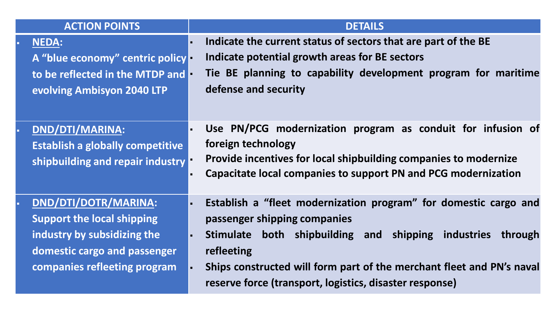| <b>ACTION POINTS</b>                                                                                                                                     |   | <b>DETAILS</b>                                                                                                                                                                                                                                                                                                       |
|----------------------------------------------------------------------------------------------------------------------------------------------------------|---|----------------------------------------------------------------------------------------------------------------------------------------------------------------------------------------------------------------------------------------------------------------------------------------------------------------------|
| <b>NEDA:</b><br>A "blue economy" centric policy<br>to be reflected in the MTDP and<br>evolving Ambisyon 2040 LTP                                         |   | Indicate the current status of sectors that are part of the BE<br>Indicate potential growth areas for BE sectors<br>Tie BE planning to capability development program for maritime<br>defense and security                                                                                                           |
| <b>DND/DTI/MARINA:</b><br><b>Establish a globally competitive</b><br>shipbuilding and repair industry                                                    |   | Use PN/PCG modernization program as conduit for infusion of<br>foreign technology<br>Provide incentives for local shipbuilding companies to modernize<br>Capacitate local companies to support PN and PCG modernization                                                                                              |
| DND/DTI/DOTR/MARINA:<br><b>Support the local shipping</b><br>industry by subsidizing the<br>domestic cargo and passenger<br>companies refleeting program | × | Establish a "fleet modernization program" for domestic cargo and<br>passenger shipping companies<br>Stimulate both shipbuilding and shipping industries<br>through<br>refleeting<br>Ships constructed will form part of the merchant fleet and PN's naval<br>reserve force (transport, logistics, disaster response) |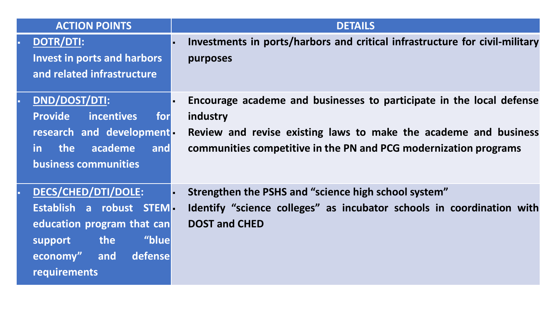| <b>ACTION POINTS</b>                                                                                                                                                        | <b>DETAILS</b>                                                                                                                                                                                                           |
|-----------------------------------------------------------------------------------------------------------------------------------------------------------------------------|--------------------------------------------------------------------------------------------------------------------------------------------------------------------------------------------------------------------------|
| DOTR/DTI:<br>$\blacksquare$<br><b>Invest in ports and harbors</b><br>and related infrastructure                                                                             | Investments in ports/harbors and critical infrastructure for civil-military<br>purposes                                                                                                                                  |
| DND/DOST/DTI:<br><b>Provide</b><br>incentives<br>for<br>research and development-<br>in the<br>academe<br>and<br><b>business communities</b>                                | Encourage academe and businesses to participate in the local defense<br>industry<br>Review and revise existing laws to make the academe and business<br>communities competitive in the PN and PCG modernization programs |
| <b>DECS/CHED/DTI/DOLE:</b><br>$\blacksquare$<br>Establish a robust STEM<br>education program that can<br>"blue<br>the<br>support<br>economy" and<br>defense<br>requirements | Strengthen the PSHS and "science high school system"<br>Identify "science colleges" as incubator schools in coordination with<br><b>DOST and CHED</b>                                                                    |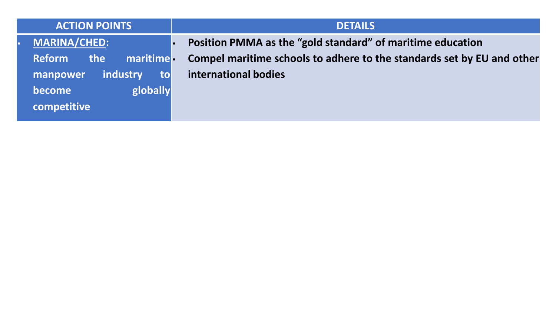| <b>ACTION POINTS</b>                                                                                                | <b>DETAILS</b>                                                                                                                                               |
|---------------------------------------------------------------------------------------------------------------------|--------------------------------------------------------------------------------------------------------------------------------------------------------------|
| MARINA/CHED:<br><b>Reform</b><br>the<br>maritime<br>industry<br>to<br>manpower<br>globally<br>become<br>competitive | Position PMMA as the "gold standard" of maritime education<br>Compel maritime schools to adhere to the standards set by EU and other<br>international bodies |